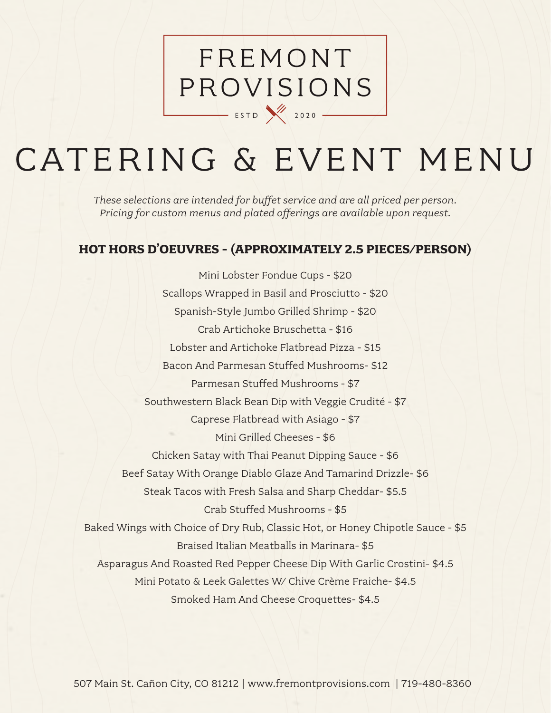# FREMONT PROVISIONS  $\overline{\phantom{1}}$  ESTD  $\overline{\phantom{1}}$  2020  $\overline{\phantom{1}}$

# CATERING & EVENT MENU

*These selections are intended for buffet service and are all priced per person. Pricing for custom menus and plated offerings are available upon request.* 

## **HOT HORS D'OEUVRES - (APPROXIMATELY 2.5 PIECES/PERSON)**

Mini Lobster Fondue Cups - \$20 Scallops Wrapped in Basil and Prosciutto - \$20 Spanish-Style Jumbo Grilled Shrimp - \$20 Crab Artichoke Bruschetta - \$16 Lobster and Artichoke Flatbread Pizza - \$15 Bacon And Parmesan Stuffed Mushrooms- \$12 Parmesan Stuffed Mushrooms - \$7 Southwestern Black Bean Dip with Veggie Crudité - \$7 Caprese Flatbread with Asiago - \$7 Mini Grilled Cheeses - \$6 Chicken Satay with Thai Peanut Dipping Sauce - \$6 Beef Satay With Orange Diablo Glaze And Tamarind Drizzle- \$6 Steak Tacos with Fresh Salsa and Sharp Cheddar- \$5.5 Crab Stuffed Mushrooms - \$5 Baked Wings with Choice of Dry Rub, Classic Hot, or Honey Chipotle Sauce - \$5 Braised Italian Meatballs in Marinara- \$5 Asparagus And Roasted Red Pepper Cheese Dip With Garlic Crostini- \$4.5 Mini Potato & Leek Galettes W/ Chive Crème Fraiche- \$4.5 Smoked Ham And Cheese Croquettes- \$4.5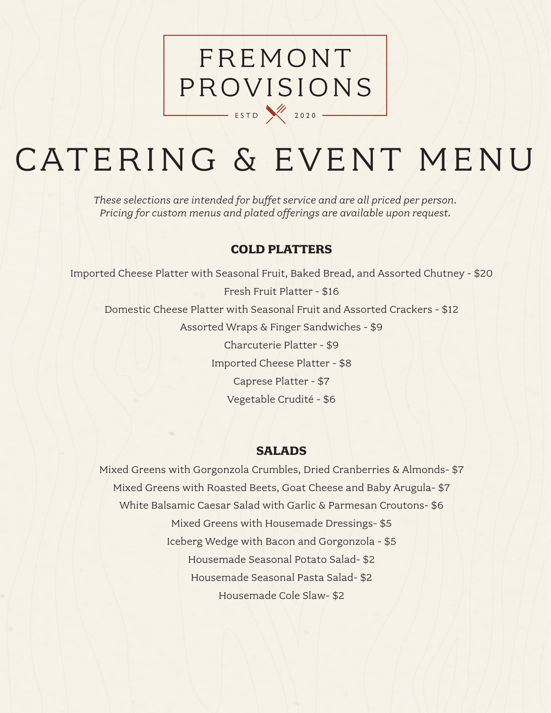# FREMONT PROVISIONS  $\overline{\phantom{0}}$  ESTD  $\overline{\phantom{0}}$  2020  $\overline{\phantom{0}}$

# CATERING & EVENT MENU

*These selections are intended for buffet service and are all priced per person. Pricing for custom menus and plated offerings are available upon request.* 

### **COLD PLATTERS**

Imported Cheese Platter with Seasonal Fruit, Baked Bread, and Assorted Chutney - \$20 Fresh Fruit Platter - \$16 Domestic Cheese Platter with Seasonal Fruit and Assorted Crackers - \$12 Assorted Wraps & Finger Sandwiches - \$9 Charcuterie Platter - \$9 Imported Cheese Platter - \$8 Caprese Platter - \$7 Vegetable Crudité - \$6

### **SALADS**

Mixed Greens with Gorgonzola Crumbles, Dried Cranberries & Almonds- \$7 Mixed Greens with Roasted Beets, Goat Cheese and Baby Arugula- \$7 White Balsamic Caesar Salad with Garlic & Parmesan Croutons- \$6 Mixed Greens with Housemade Dressings- \$5 Iceberg Wedge with Bacon and Gorgonzola - \$5 Housemade Seasonal Potato Salad- \$2 Housemade Seasonal Pasta Salad- \$2 Housemade Cole Slaw- \$2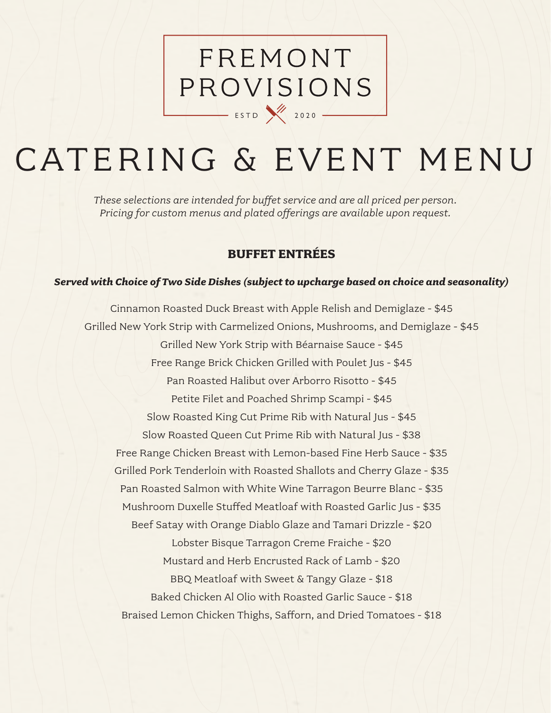# FREMONT PROVISIONS ESTD 2020

# CATERING & EVENT MENU

*These selections are intended for buffet service and are all priced per person. Pricing for custom menus and plated offerings are available upon request.* 

## **BUFFET ENTRÉES**

#### *Served with Choice of Two Side Dishes (subject to upcharge based on choice and seasonality)*

Cinnamon Roasted Duck Breast with Apple Relish and Demiglaze - \$45 Grilled New York Strip with Carmelized Onions, Mushrooms, and Demiglaze - \$45 Grilled New York Strip with Béarnaise Sauce - \$45 Free Range Brick Chicken Grilled with Poulet Jus - \$45 Pan Roasted Halibut over Arborro Risotto - \$45 Petite Filet and Poached Shrimp Scampi - \$45 Slow Roasted King Cut Prime Rib with Natural Jus - \$45 Slow Roasted Queen Cut Prime Rib with Natural Jus - \$38 Free Range Chicken Breast with Lemon-based Fine Herb Sauce - \$35 Grilled Pork Tenderloin with Roasted Shallots and Cherry Glaze - \$35 Pan Roasted Salmon with White Wine Tarragon Beurre Blanc - \$35 Mushroom Duxelle Stuffed Meatloaf with Roasted Garlic Jus - \$35 Beef Satay with Orange Diablo Glaze and Tamari Drizzle - \$20 Lobster Bisque Tarragon Creme Fraiche - \$20 Mustard and Herb Encrusted Rack of Lamb - \$20 BBQ Meatloaf with Sweet & Tangy Glaze - \$18 Baked Chicken Al Olio with Roasted Garlic Sauce - \$18 Braised Lemon Chicken Thighs, Safforn, and Dried Tomatoes - \$18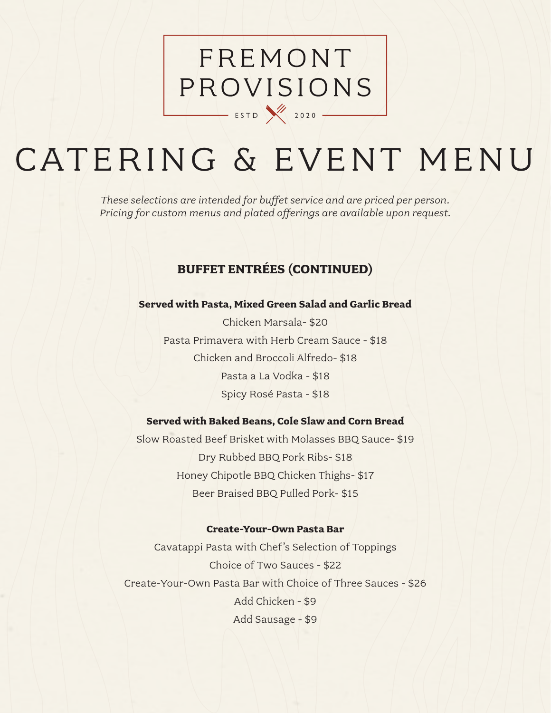# FREMONT PROVISIONS  $\overline{\phantom{1}}$  ESTD  $\overline{\phantom{1}}$  2020  $\overline{\phantom{1}}$

# CATERING & EVENT MENU

*These selections are intended for buffet service and are priced per person. Pricing for custom menus and plated offerings are available upon request.* 

## **BUFFET ENTRÉES (CONTINUED)**

#### **Served with Pasta, Mixed Green Salad and Garlic Bread**

Chicken Marsala- \$20 Pasta Primavera with Herb Cream Sauce - \$18 Chicken and Broccoli Alfredo- \$18 Pasta a La Vodka - \$18 Spicy Rosé Pasta - \$18

#### **Served with Baked Beans, Cole Slaw and Corn Bread**

Slow Roasted Beef Brisket with Molasses BBQ Sauce- \$19 Dry Rubbed BBQ Pork Ribs- \$18 Honey Chipotle BBQ Chicken Thighs- \$17 Beer Braised BBQ Pulled Pork- \$15

#### **Create-Your-Own Pasta Bar**

Cavatappi Pasta with Chef's Selection of Toppings Choice of Two Sauces - \$22 Create-Your-Own Pasta Bar with Choice of Three Sauces - \$26 Add Chicken - \$9 Add Sausage - \$9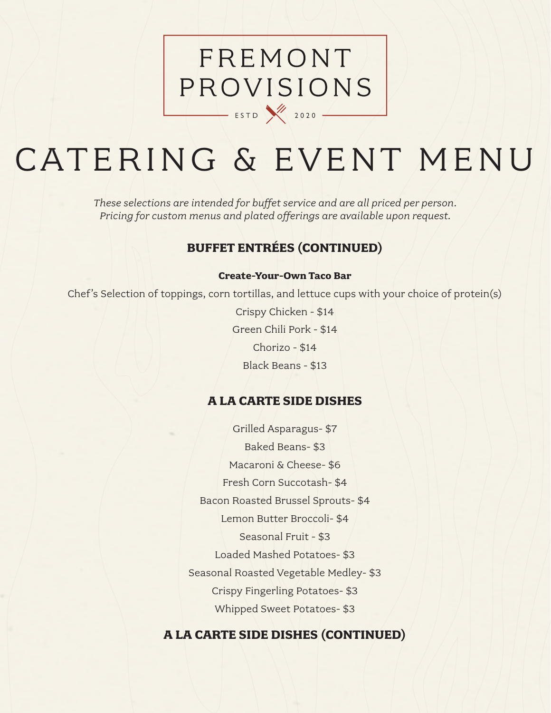# FREMONT PROVISIONS  $\overline{\phantom{0}}$  ESTD  $\overline{\phantom{0}}$  2020  $\overline{\phantom{0}}$

# CATERING & EVENT MENU

*These selections are intended for buffet service and are all priced per person. Pricing for custom menus and plated offerings are available upon request.* 

## **BUFFET ENTRÉES (CONTINUED)**

#### **Create-Your-Own Taco Bar**

Chef's Selection of toppings, corn tortillas, and lettuce cups with your choice of protein(s)

Crispy Chicken - \$14 Green Chili Pork - \$14 Chorizo - \$14 Black Beans - \$13

### **A LA CARTE SIDE DISHES**

Grilled Asparagus- \$7 Baked Beans- \$3 Macaroni & Cheese- \$6 Fresh Corn Succotash- \$4 Bacon Roasted Brussel Sprouts- \$4 Lemon Butter Broccoli- \$4 Seasonal Fruit - \$3 Loaded Mashed Potatoes- \$3 Seasonal Roasted Vegetable Medley- \$3 Crispy Fingerling Potatoes- \$3 Whipped Sweet Potatoes- \$3

### **A LA CARTE SIDE DISHES (CONTINUED)**